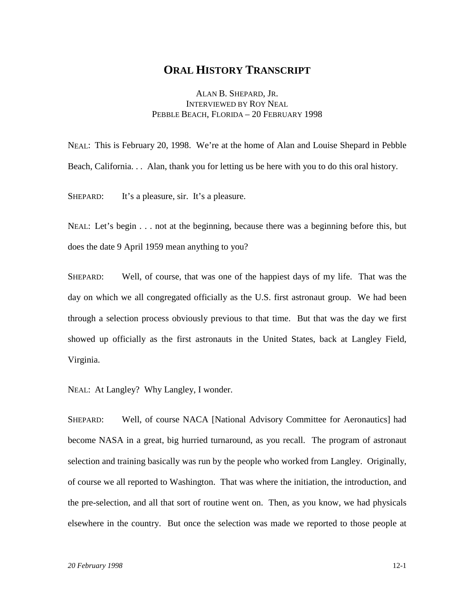## **ORAL HISTORY TRANSCRIPT**

ALAN B. SHEPARD, JR. INTERVIEWED BY ROY NEAL PEBBLE BEACH, FLORIDA – 20 FEBRUARY 1998

NEAL: This is February 20, 1998. We're at the home of Alan and Louise Shepard in Pebble Beach, California. . . Alan, thank you for letting us be here with you to do this oral history.

SHEPARD: It's a pleasure, sir. It's a pleasure.

NEAL: Let's begin . . . not at the beginning, because there was a beginning before this, but does the date 9 April 1959 mean anything to you?

SHEPARD: Well, of course, that was one of the happiest days of my life. That was the day on which we all congregated officially as the U.S. first astronaut group. We had been through a selection process obviously previous to that time. But that was the day we first showed up officially as the first astronauts in the United States, back at Langley Field, Virginia.

NEAL: At Langley? Why Langley, I wonder.

SHEPARD: Well, of course NACA [National Advisory Committee for Aeronautics] had become NASA in a great, big hurried turnaround, as you recall. The program of astronaut selection and training basically was run by the people who worked from Langley. Originally, of course we all reported to Washington. That was where the initiation, the introduction, and the pre-selection, and all that sort of routine went on. Then, as you know, we had physicals elsewhere in the country. But once the selection was made we reported to those people at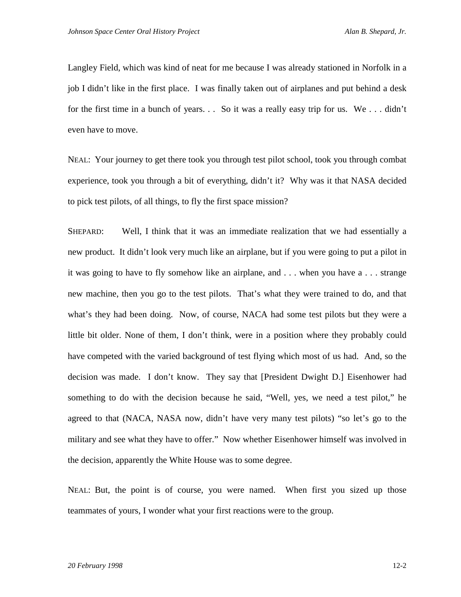Langley Field, which was kind of neat for me because I was already stationed in Norfolk in a job I didn't like in the first place. I was finally taken out of airplanes and put behind a desk for the first time in a bunch of years. . . So it was a really easy trip for us. We . . . didn't even have to move.

NEAL: Your journey to get there took you through test pilot school, took you through combat experience, took you through a bit of everything, didn't it? Why was it that NASA decided to pick test pilots, of all things, to fly the first space mission?

SHEPARD: Well, I think that it was an immediate realization that we had essentially a new product. It didn't look very much like an airplane, but if you were going to put a pilot in it was going to have to fly somehow like an airplane, and . . . when you have a . . . strange new machine, then you go to the test pilots. That's what they were trained to do, and that what's they had been doing. Now, of course, NACA had some test pilots but they were a little bit older. None of them, I don't think, were in a position where they probably could have competed with the varied background of test flying which most of us had. And, so the decision was made. I don't know. They say that [President Dwight D.] Eisenhower had something to do with the decision because he said, "Well, yes, we need a test pilot," he agreed to that (NACA, NASA now, didn't have very many test pilots) "so let's go to the military and see what they have to offer." Now whether Eisenhower himself was involved in the decision, apparently the White House was to some degree.

NEAL: But, the point is of course, you were named. When first you sized up those teammates of yours, I wonder what your first reactions were to the group.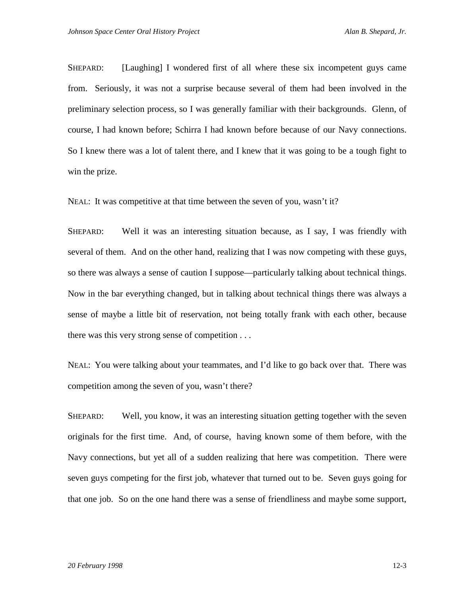SHEPARD: [Laughing] I wondered first of all where these six incompetent guys came from. Seriously, it was not a surprise because several of them had been involved in the preliminary selection process, so I was generally familiar with their backgrounds. Glenn, of course, I had known before; Schirra I had known before because of our Navy connections. So I knew there was a lot of talent there, and I knew that it was going to be a tough fight to win the prize.

NEAL: It was competitive at that time between the seven of you, wasn't it?

SHEPARD: Well it was an interesting situation because, as I say, I was friendly with several of them. And on the other hand, realizing that I was now competing with these guys, so there was always a sense of caution I suppose—particularly talking about technical things. Now in the bar everything changed, but in talking about technical things there was always a sense of maybe a little bit of reservation, not being totally frank with each other, because there was this very strong sense of competition . . .

NEAL: You were talking about your teammates, and I'd like to go back over that. There was competition among the seven of you, wasn't there?

SHEPARD: Well, you know, it was an interesting situation getting together with the seven originals for the first time. And, of course, having known some of them before, with the Navy connections, but yet all of a sudden realizing that here was competition. There were seven guys competing for the first job, whatever that turned out to be. Seven guys going for that one job. So on the one hand there was a sense of friendliness and maybe some support,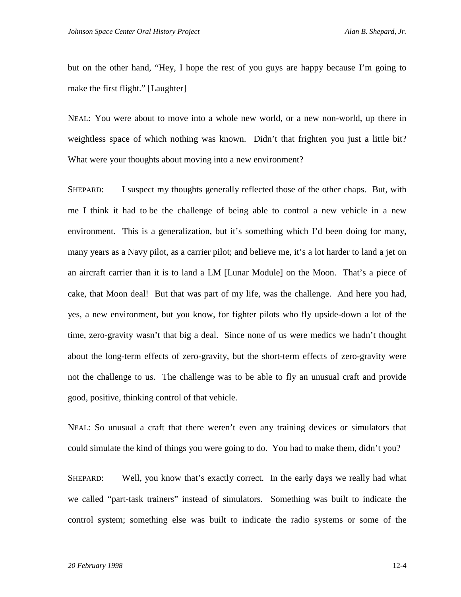but on the other hand, "Hey, I hope the rest of you guys are happy because I'm going to make the first flight." [Laughter]

NEAL: You were about to move into a whole new world, or a new non-world, up there in weightless space of which nothing was known. Didn't that frighten you just a little bit? What were your thoughts about moving into a new environment?

SHEPARD: I suspect my thoughts generally reflected those of the other chaps. But, with me I think it had to be the challenge of being able to control a new vehicle in a new environment. This is a generalization, but it's something which I'd been doing for many, many years as a Navy pilot, as a carrier pilot; and believe me, it's a lot harder to land a jet on an aircraft carrier than it is to land a LM [Lunar Module] on the Moon. That's a piece of cake, that Moon deal! But that was part of my life, was the challenge. And here you had, yes, a new environment, but you know, for fighter pilots who fly upside-down a lot of the time, zero-gravity wasn't that big a deal. Since none of us were medics we hadn't thought about the long-term effects of zero-gravity, but the short-term effects of zero-gravity were not the challenge to us. The challenge was to be able to fly an unusual craft and provide good, positive, thinking control of that vehicle.

NEAL: So unusual a craft that there weren't even any training devices or simulators that could simulate the kind of things you were going to do. You had to make them, didn't you?

SHEPARD: Well, you know that's exactly correct. In the early days we really had what we called "part-task trainers" instead of simulators. Something was built to indicate the control system; something else was built to indicate the radio systems or some of the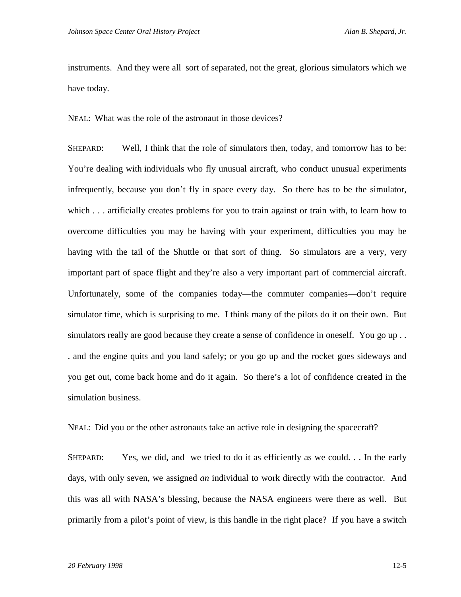instruments. And they were all sort of separated, not the great, glorious simulators which we have today.

NEAL: What was the role of the astronaut in those devices?

SHEPARD: Well, I think that the role of simulators then, today, and tomorrow has to be: You're dealing with individuals who fly unusual aircraft, who conduct unusual experiments infrequently, because you don't fly in space every day. So there has to be the simulator, which . . . artificially creates problems for you to train against or train with, to learn how to overcome difficulties you may be having with your experiment, difficulties you may be having with the tail of the Shuttle or that sort of thing. So simulators are a very, very important part of space flight and they're also a very important part of commercial aircraft. Unfortunately, some of the companies today—the commuter companies—don't require simulator time, which is surprising to me. I think many of the pilots do it on their own. But simulators really are good because they create a sense of confidence in oneself. You go up . . . and the engine quits and you land safely; or you go up and the rocket goes sideways and you get out, come back home and do it again. So there's a lot of confidence created in the simulation business.

NEAL: Did you or the other astronauts take an active role in designing the spacecraft?

SHEPARD: Yes, we did, and we tried to do it as efficiently as we could. . . In the early days, with only seven, we assigned *an* individual to work directly with the contractor. And this was all with NASA's blessing, because the NASA engineers were there as well. But primarily from a pilot's point of view, is this handle in the right place? If you have a switch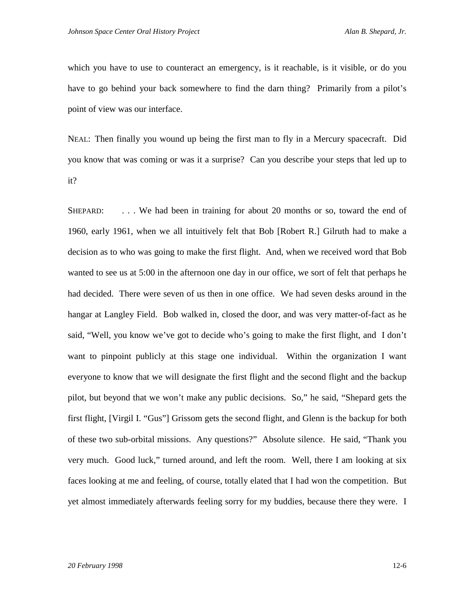which you have to use to counteract an emergency, is it reachable, is it visible, or do you have to go behind your back somewhere to find the darn thing? Primarily from a pilot's point of view was our interface.

NEAL: Then finally you wound up being the first man to fly in a Mercury spacecraft. Did you know that was coming or was it a surprise? Can you describe your steps that led up to it?

SHEPARD: ... We had been in training for about 20 months or so, toward the end of 1960, early 1961, when we all intuitively felt that Bob [Robert R.] Gilruth had to make a decision as to who was going to make the first flight. And, when we received word that Bob wanted to see us at 5:00 in the afternoon one day in our office, we sort of felt that perhaps he had decided. There were seven of us then in one office. We had seven desks around in the hangar at Langley Field. Bob walked in, closed the door, and was very matter-of-fact as he said, "Well, you know we've got to decide who's going to make the first flight, and I don't want to pinpoint publicly at this stage one individual. Within the organization I want everyone to know that we will designate the first flight and the second flight and the backup pilot, but beyond that we won't make any public decisions. So," he said, "Shepard gets the first flight, [Virgil I. "Gus"] Grissom gets the second flight, and Glenn is the backup for both of these two sub-orbital missions. Any questions?" Absolute silence. He said, "Thank you very much. Good luck," turned around, and left the room. Well, there I am looking at six faces looking at me and feeling, of course, totally elated that I had won the competition. But yet almost immediately afterwards feeling sorry for my buddies, because there they were. I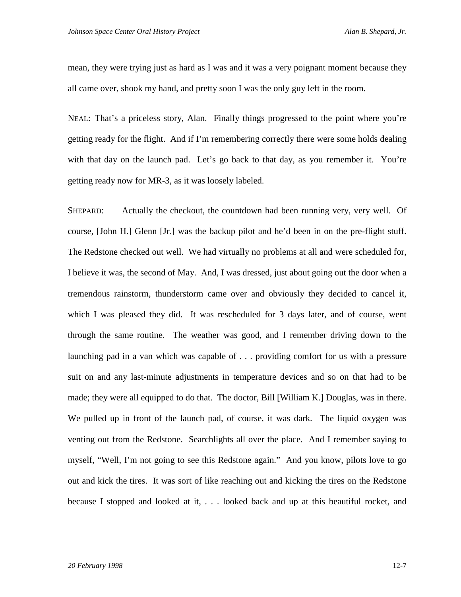mean, they were trying just as hard as I was and it was a very poignant moment because they all came over, shook my hand, and pretty soon I was the only guy left in the room.

NEAL: That's a priceless story, Alan. Finally things progressed to the point where you're getting ready for the flight. And if I'm remembering correctly there were some holds dealing with that day on the launch pad. Let's go back to that day, as you remember it. You're getting ready now for MR-3, as it was loosely labeled.

SHEPARD: Actually the checkout, the countdown had been running very, very well. Of course, [John H.] Glenn [Jr.] was the backup pilot and he'd been in on the pre-flight stuff. The Redstone checked out well. We had virtually no problems at all and were scheduled for, I believe it was, the second of May. And, I was dressed, just about going out the door when a tremendous rainstorm, thunderstorm came over and obviously they decided to cancel it, which I was pleased they did. It was rescheduled for 3 days later, and of course, went through the same routine. The weather was good, and I remember driving down to the launching pad in a van which was capable of . . . providing comfort for us with a pressure suit on and any last-minute adjustments in temperature devices and so on that had to be made; they were all equipped to do that. The doctor, Bill [William K.] Douglas, was in there. We pulled up in front of the launch pad, of course, it was dark. The liquid oxygen was venting out from the Redstone. Searchlights all over the place. And I remember saying to myself, "Well, I'm not going to see this Redstone again." And you know, pilots love to go out and kick the tires. It was sort of like reaching out and kicking the tires on the Redstone because I stopped and looked at it, . . . looked back and up at this beautiful rocket, and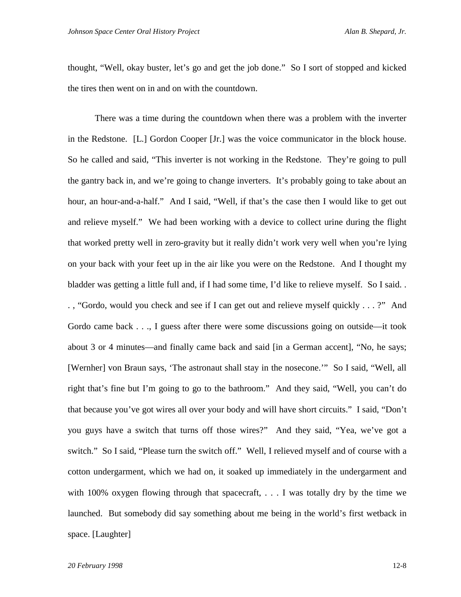thought, "Well, okay buster, let's go and get the job done." So I sort of stopped and kicked the tires then went on in and on with the countdown.

There was a time during the countdown when there was a problem with the inverter in the Redstone. [L.] Gordon Cooper [Jr.] was the voice communicator in the block house. So he called and said, "This inverter is not working in the Redstone. They're going to pull the gantry back in, and we're going to change inverters. It's probably going to take about an hour, an hour-and-a-half." And I said, "Well, if that's the case then I would like to get out and relieve myself." We had been working with a device to collect urine during the flight that worked pretty well in zero-gravity but it really didn't work very well when you're lying on your back with your feet up in the air like you were on the Redstone. And I thought my bladder was getting a little full and, if I had some time, I'd like to relieve myself. So I said. . . , "Gordo, would you check and see if I can get out and relieve myself quickly . . . ?" And Gordo came back . . ., I guess after there were some discussions going on outside—it took about 3 or 4 minutes—and finally came back and said [in a German accent], "No, he says; [Wernher] von Braun says, 'The astronaut shall stay in the nosecone.'" So I said, "Well, all right that's fine but I'm going to go to the bathroom." And they said, "Well, you can't do that because you've got wires all over your body and will have short circuits." I said, "Don't you guys have a switch that turns off those wires?" And they said, "Yea, we've got a switch." So I said, "Please turn the switch off." Well, I relieved myself and of course with a cotton undergarment, which we had on, it soaked up immediately in the undergarment and with 100% oxygen flowing through that spacecraft, ... I was totally dry by the time we launched. But somebody did say something about me being in the world's first wetback in space. [Laughter]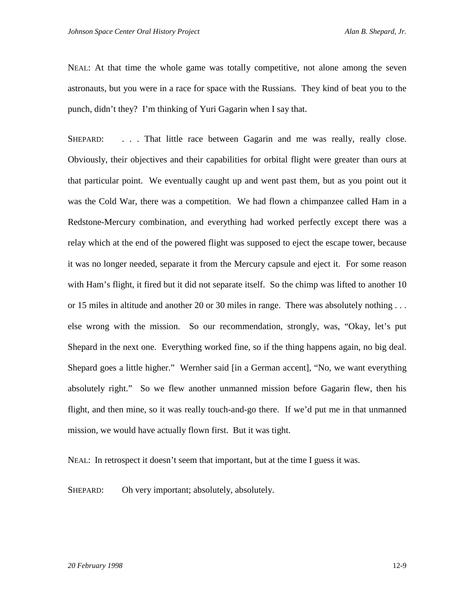NEAL: At that time the whole game was totally competitive, not alone among the seven astronauts, but you were in a race for space with the Russians. They kind of beat you to the punch, didn't they? I'm thinking of Yuri Gagarin when I say that.

SHEPARD: . . . That little race between Gagarin and me was really, really close. Obviously, their objectives and their capabilities for orbital flight were greater than ours at that particular point. We eventually caught up and went past them, but as you point out it was the Cold War, there was a competition. We had flown a chimpanzee called Ham in a Redstone-Mercury combination, and everything had worked perfectly except there was a relay which at the end of the powered flight was supposed to eject the escape tower, because it was no longer needed, separate it from the Mercury capsule and eject it. For some reason with Ham's flight, it fired but it did not separate itself. So the chimp was lifted to another 10 or 15 miles in altitude and another 20 or 30 miles in range. There was absolutely nothing . . . else wrong with the mission. So our recommendation, strongly, was, "Okay, let's put Shepard in the next one. Everything worked fine, so if the thing happens again, no big deal. Shepard goes a little higher." Wernher said [in a German accent], "No, we want everything absolutely right." So we flew another unmanned mission before Gagarin flew, then his flight, and then mine, so it was really touch-and-go there. If we'd put me in that unmanned mission, we would have actually flown first. But it was tight.

NEAL: In retrospect it doesn't seem that important, but at the time I guess it was.

SHEPARD: Oh very important; absolutely, absolutely.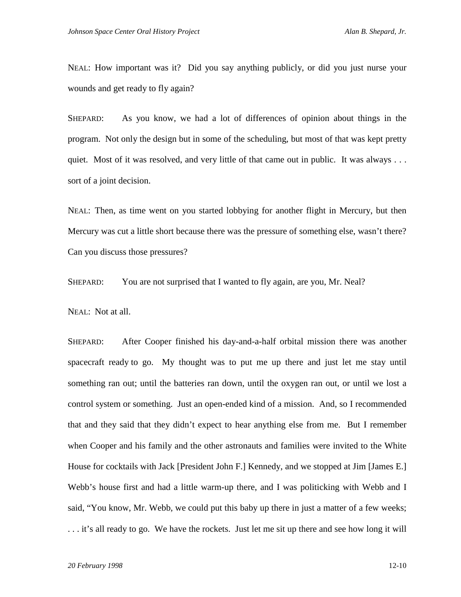NEAL: How important was it? Did you say anything publicly, or did you just nurse your wounds and get ready to fly again?

SHEPARD: As you know, we had a lot of differences of opinion about things in the program. Not only the design but in some of the scheduling, but most of that was kept pretty quiet. Most of it was resolved, and very little of that came out in public. It was always . . . sort of a joint decision.

NEAL: Then, as time went on you started lobbying for another flight in Mercury, but then Mercury was cut a little short because there was the pressure of something else, wasn't there? Can you discuss those pressures?

SHEPARD: You are not surprised that I wanted to fly again, are you, Mr. Neal?

NEAL: Not at all.

SHEPARD: After Cooper finished his day-and-a-half orbital mission there was another spacecraft ready to go. My thought was to put me up there and just let me stay until something ran out; until the batteries ran down, until the oxygen ran out, or until we lost a control system or something. Just an open-ended kind of a mission. And, so I recommended that and they said that they didn't expect to hear anything else from me. But I remember when Cooper and his family and the other astronauts and families were invited to the White House for cocktails with Jack [President John F.] Kennedy, and we stopped at Jim [James E.] Webb's house first and had a little warm-up there, and I was politicking with Webb and I said, "You know, Mr. Webb, we could put this baby up there in just a matter of a few weeks; . . . it's all ready to go. We have the rockets. Just let me sit up there and see how long it will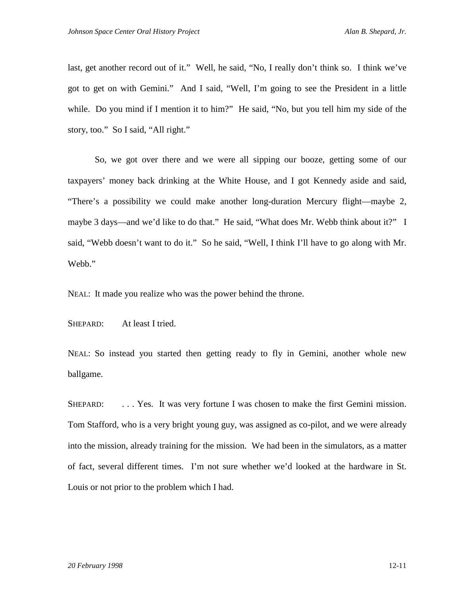last, get another record out of it." Well, he said, "No, I really don't think so. I think we've got to get on with Gemini." And I said, "Well, I'm going to see the President in a little while. Do you mind if I mention it to him?" He said, "No, but you tell him my side of the story, too." So I said, "All right."

So, we got over there and we were all sipping our booze, getting some of our taxpayers' money back drinking at the White House, and I got Kennedy aside and said, "There's a possibility we could make another long-duration Mercury flight—maybe 2, maybe 3 days—and we'd like to do that." He said, "What does Mr. Webb think about it?" I said, "Webb doesn't want to do it." So he said, "Well, I think I'll have to go along with Mr. Webb."

NEAL: It made you realize who was the power behind the throne.

SHEPARD: At least I tried.

NEAL: So instead you started then getting ready to fly in Gemini, another whole new ballgame.

SHEPARD: ... Yes. It was very fortune I was chosen to make the first Gemini mission. Tom Stafford, who is a very bright young guy, was assigned as co-pilot, and we were already into the mission, already training for the mission. We had been in the simulators, as a matter of fact, several different times. I'm not sure whether we'd looked at the hardware in St. Louis or not prior to the problem which I had.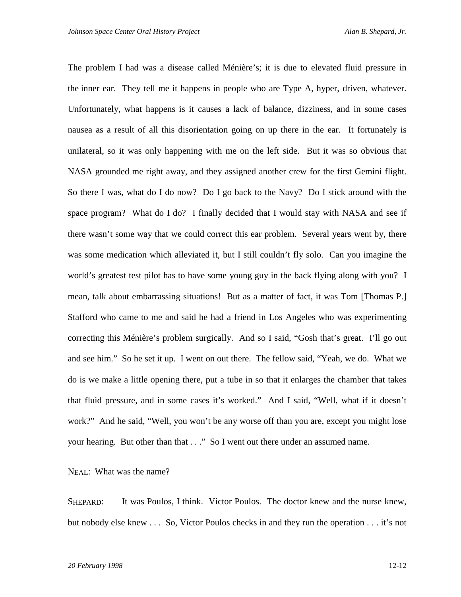The problem I had was a disease called Ménière's; it is due to elevated fluid pressure in the inner ear. They tell me it happens in people who are Type A, hyper, driven, whatever. Unfortunately, what happens is it causes a lack of balance, dizziness, and in some cases nausea as a result of all this disorientation going on up there in the ear. It fortunately is unilateral, so it was only happening with me on the left side. But it was so obvious that NASA grounded me right away, and they assigned another crew for the first Gemini flight. So there I was, what do I do now? Do I go back to the Navy? Do I stick around with the space program? What do I do? I finally decided that I would stay with NASA and see if there wasn't some way that we could correct this ear problem. Several years went by, there was some medication which alleviated it, but I still couldn't fly solo. Can you imagine the world's greatest test pilot has to have some young guy in the back flying along with you? I mean, talk about embarrassing situations! But as a matter of fact, it was Tom [Thomas P.] Stafford who came to me and said he had a friend in Los Angeles who was experimenting correcting this Ménière's problem surgically. And so I said, "Gosh that's great. I'll go out and see him." So he set it up. I went on out there. The fellow said, "Yeah, we do. What we do is we make a little opening there, put a tube in so that it enlarges the chamber that takes that fluid pressure, and in some cases it's worked." And I said, "Well, what if it doesn't work?" And he said, "Well, you won't be any worse off than you are, except you might lose your hearing. But other than that . . ." So I went out there under an assumed name.

NEAL: What was the name?

SHEPARD: It was Poulos, I think. Victor Poulos. The doctor knew and the nurse knew, but nobody else knew . . . So, Victor Poulos checks in and they run the operation . . . it's not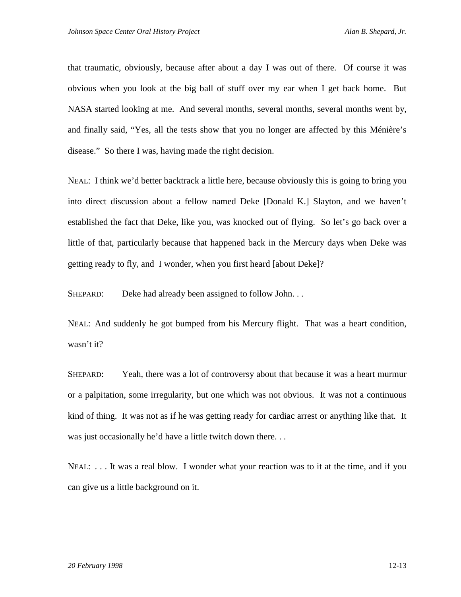that traumatic, obviously, because after about a day I was out of there. Of course it was obvious when you look at the big ball of stuff over my ear when I get back home. But NASA started looking at me. And several months, several months, several months went by, and finally said, "Yes, all the tests show that you no longer are affected by this Ménière's disease." So there I was, having made the right decision.

NEAL: I think we'd better backtrack a little here, because obviously this is going to bring you into direct discussion about a fellow named Deke [Donald K.] Slayton, and we haven't established the fact that Deke, like you, was knocked out of flying. So let's go back over a little of that, particularly because that happened back in the Mercury days when Deke was getting ready to fly, and I wonder, when you first heard [about Deke]?

SHEPARD: Deke had already been assigned to follow John...

NEAL: And suddenly he got bumped from his Mercury flight. That was a heart condition, wasn't it?

SHEPARD: Yeah, there was a lot of controversy about that because it was a heart murmur or a palpitation, some irregularity, but one which was not obvious. It was not a continuous kind of thing. It was not as if he was getting ready for cardiac arrest or anything like that. It was just occasionally he'd have a little twitch down there...

NEAL:  $\dots$  It was a real blow. I wonder what your reaction was to it at the time, and if you can give us a little background on it.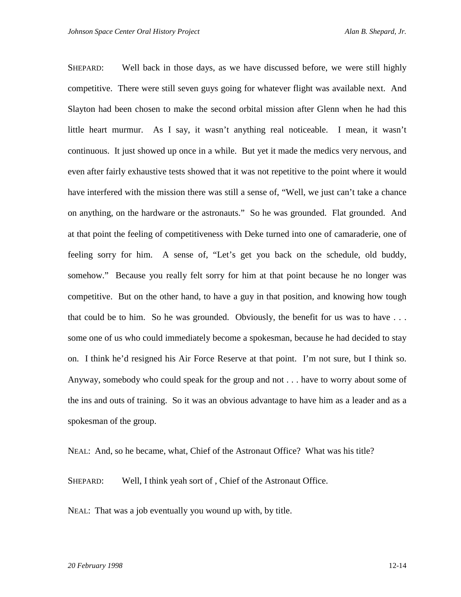SHEPARD: Well back in those days, as we have discussed before, we were still highly competitive. There were still seven guys going for whatever flight was available next. And Slayton had been chosen to make the second orbital mission after Glenn when he had this little heart murmur. As I say, it wasn't anything real noticeable. I mean, it wasn't continuous. It just showed up once in a while. But yet it made the medics very nervous, and even after fairly exhaustive tests showed that it was not repetitive to the point where it would have interfered with the mission there was still a sense of, "Well, we just can't take a chance on anything, on the hardware or the astronauts." So he was grounded. Flat grounded. And at that point the feeling of competitiveness with Deke turned into one of camaraderie, one of feeling sorry for him. A sense of, "Let's get you back on the schedule, old buddy, somehow." Because you really felt sorry for him at that point because he no longer was competitive. But on the other hand, to have a guy in that position, and knowing how tough that could be to him. So he was grounded. Obviously, the benefit for us was to have  $\dots$ some one of us who could immediately become a spokesman, because he had decided to stay on. I think he'd resigned his Air Force Reserve at that point. I'm not sure, but I think so. Anyway, somebody who could speak for the group and not . . . have to worry about some of the ins and outs of training. So it was an obvious advantage to have him as a leader and as a spokesman of the group.

NEAL: And, so he became, what, Chief of the Astronaut Office? What was his title?

SHEPARD: Well, I think yeah sort of, Chief of the Astronaut Office.

NEAL: That was a job eventually you wound up with, by title.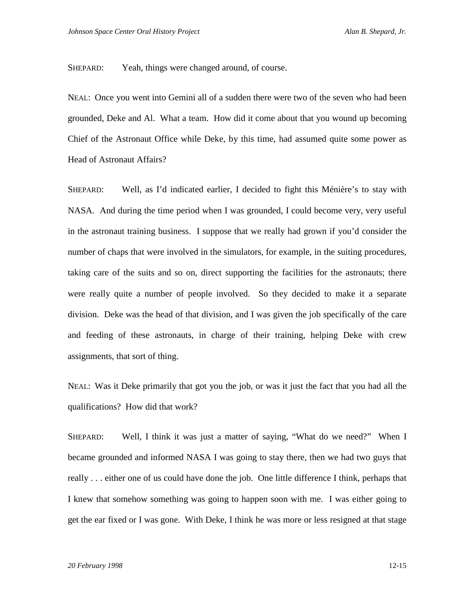SHEPARD: Yeah, things were changed around, of course.

NEAL: Once you went into Gemini all of a sudden there were two of the seven who had been grounded, Deke and Al. What a team. How did it come about that you wound up becoming Chief of the Astronaut Office while Deke, by this time, had assumed quite some power as Head of Astronaut Affairs?

SHEPARD: Well, as I'd indicated earlier, I decided to fight this Ménière's to stay with NASA. And during the time period when I was grounded, I could become very, very useful in the astronaut training business. I suppose that we really had grown if you'd consider the number of chaps that were involved in the simulators, for example, in the suiting procedures, taking care of the suits and so on, direct supporting the facilities for the astronauts; there were really quite a number of people involved. So they decided to make it a separate division. Deke was the head of that division, and I was given the job specifically of the care and feeding of these astronauts, in charge of their training, helping Deke with crew assignments, that sort of thing.

NEAL: Was it Deke primarily that got you the job, or was it just the fact that you had all the qualifications? How did that work?

SHEPARD: Well, I think it was just a matter of saying, "What do we need?" When I became grounded and informed NASA I was going to stay there, then we had two guys that really . . . either one of us could have done the job. One little difference I think, perhaps that I knew that somehow something was going to happen soon with me. I was either going to get the ear fixed or I was gone. With Deke, I think he was more or less resigned at that stage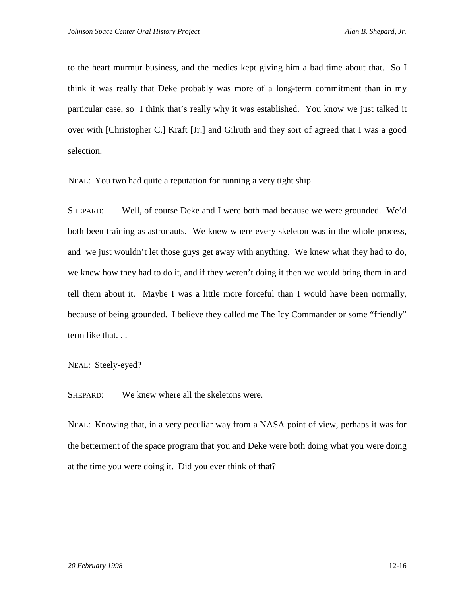to the heart murmur business, and the medics kept giving him a bad time about that. So I think it was really that Deke probably was more of a long-term commitment than in my particular case, so I think that's really why it was established. You know we just talked it over with [Christopher C.] Kraft [Jr.] and Gilruth and they sort of agreed that I was a good selection.

NEAL: You two had quite a reputation for running a very tight ship.

SHEPARD: Well, of course Deke and I were both mad because we were grounded. We'd both been training as astronauts. We knew where every skeleton was in the whole process, and we just wouldn't let those guys get away with anything. We knew what they had to do, we knew how they had to do it, and if they weren't doing it then we would bring them in and tell them about it. Maybe I was a little more forceful than I would have been normally, because of being grounded. I believe they called me The Icy Commander or some "friendly" term like that. . .

NEAL: Steely-eyed?

SHEPARD: We knew where all the skeletons were.

NEAL: Knowing that, in a very peculiar way from a NASA point of view, perhaps it was for the betterment of the space program that you and Deke were both doing what you were doing at the time you were doing it. Did you ever think of that?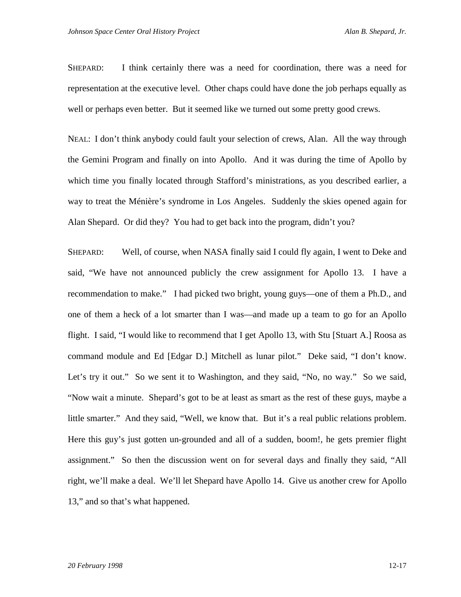SHEPARD: I think certainly there was a need for coordination, there was a need for representation at the executive level. Other chaps could have done the job perhaps equally as well or perhaps even better. But it seemed like we turned out some pretty good crews.

NEAL: I don't think anybody could fault your selection of crews, Alan. All the way through the Gemini Program and finally on into Apollo. And it was during the time of Apollo by which time you finally located through Stafford's ministrations, as you described earlier, a way to treat the Ménière's syndrome in Los Angeles. Suddenly the skies opened again for Alan Shepard. Or did they? You had to get back into the program, didn't you?

SHEPARD: Well, of course, when NASA finally said I could fly again, I went to Deke and said, "We have not announced publicly the crew assignment for Apollo 13. I have a recommendation to make." I had picked two bright, young guys—one of them a Ph.D., and one of them a heck of a lot smarter than I was—and made up a team to go for an Apollo flight. I said, "I would like to recommend that I get Apollo 13, with Stu [Stuart A.] Roosa as command module and Ed [Edgar D.] Mitchell as lunar pilot." Deke said, "I don't know. Let's try it out." So we sent it to Washington, and they said, "No, no way." So we said, "Now wait a minute. Shepard's got to be at least as smart as the rest of these guys, maybe a little smarter." And they said, "Well, we know that. But it's a real public relations problem. Here this guy's just gotten un-grounded and all of a sudden, boom!, he gets premier flight assignment." So then the discussion went on for several days and finally they said, "All right, we'll make a deal. We'll let Shepard have Apollo 14. Give us another crew for Apollo 13," and so that's what happened.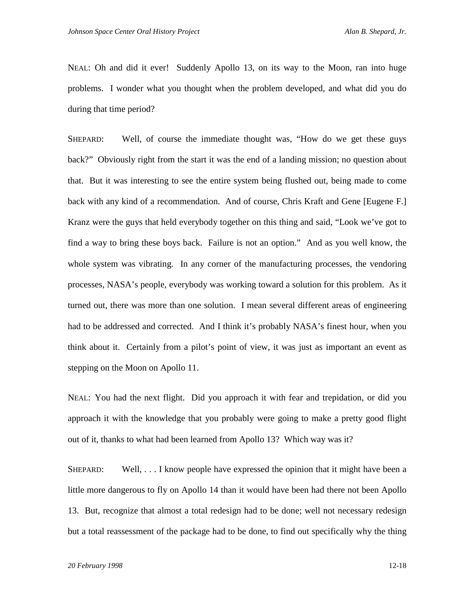NEAL: Oh and did it ever! Suddenly Apollo 13, on its way to the Moon, ran into huge problems. I wonder what you thought when the problem developed, and what did you do during that time period?

SHEPARD: Well, of course the immediate thought was, "How do we get these guys back?" Obviously right from the start it was the end of a landing mission; no question about that. But it was interesting to see the entire system being flushed out, being made to come back with any kind of a recommendation. And of course, Chris Kraft and Gene [Eugene F.] Kranz were the guys that held everybody together on this thing and said, "Look we've got to find a way to bring these boys back. Failure is not an option." And as you well know, the whole system was vibrating. In any corner of the manufacturing processes, the vendoring processes, NASA's people, everybody was working toward a solution for this problem. As it turned out, there was more than one solution. I mean several different areas of engineering had to be addressed and corrected. And I think it's probably NASA's finest hour, when you think about it. Certainly from a pilot's point of view, it was just as important an event as stepping on the Moon on Apollo 11.

NEAL: You had the next flight. Did you approach it with fear and trepidation, or did you approach it with the knowledge that you probably were going to make a pretty good flight out of it, thanks to what had been learned from Apollo 13? Which way was it?

SHEPARD: Well,  $\dots$  I know people have expressed the opinion that it might have been a little more dangerous to fly on Apollo 14 than it would have been had there not been Apollo 13. But, recognize that almost a total redesign had to be done; well not necessary redesign but a total reassessment of the package had to be done, to find out specifically why the thing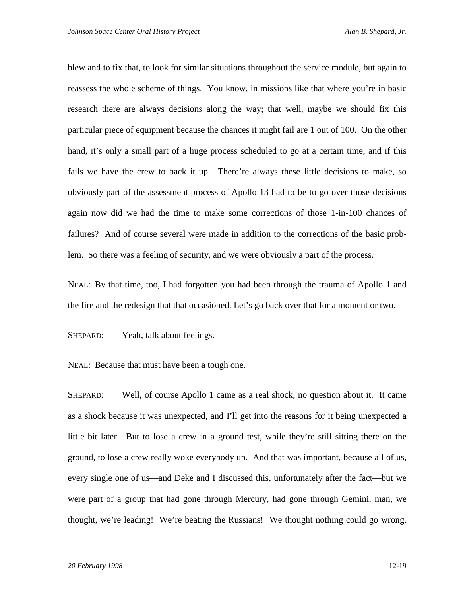blew and to fix that, to look for similar situations throughout the service module, but again to reassess the whole scheme of things. You know, in missions like that where you're in basic research there are always decisions along the way; that well, maybe we should fix this particular piece of equipment because the chances it might fail are 1 out of 100. On the other hand, it's only a small part of a huge process scheduled to go at a certain time, and if this fails we have the crew to back it up. There're always these little decisions to make, so obviously part of the assessment process of Apollo 13 had to be to go over those decisions again now did we had the time to make some corrections of those 1-in-100 chances of failures? And of course several were made in addition to the corrections of the basic problem. So there was a feeling of security, and we were obviously a part of the process.

NEAL: By that time, too, I had forgotten you had been through the trauma of Apollo 1 and the fire and the redesign that that occasioned. Let's go back over that for a moment or two.

SHEPARD: Yeah, talk about feelings.

NEAL: Because that must have been a tough one.

SHEPARD: Well, of course Apollo 1 came as a real shock, no question about it. It came as a shock because it was unexpected, and I'll get into the reasons for it being unexpected a little bit later. But to lose a crew in a ground test, while they're still sitting there on the ground, to lose a crew really woke everybody up. And that was important, because all of us, every single one of us—and Deke and I discussed this, unfortunately after the fact—but we were part of a group that had gone through Mercury, had gone through Gemini, man, we thought, we're leading! We're beating the Russians! We thought nothing could go wrong.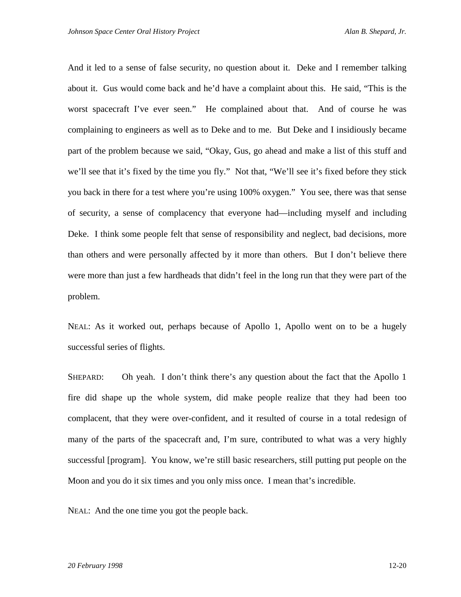And it led to a sense of false security, no question about it. Deke and I remember talking about it. Gus would come back and he'd have a complaint about this. He said, "This is the worst spacecraft I've ever seen." He complained about that. And of course he was complaining to engineers as well as to Deke and to me. But Deke and I insidiously became part of the problem because we said, "Okay, Gus, go ahead and make a list of this stuff and we'll see that it's fixed by the time you fly." Not that, "We'll see it's fixed before they stick you back in there for a test where you're using 100% oxygen." You see, there was that sense of security, a sense of complacency that everyone had—including myself and including Deke. I think some people felt that sense of responsibility and neglect, bad decisions, more than others and were personally affected by it more than others. But I don't believe there were more than just a few hardheads that didn't feel in the long run that they were part of the problem.

NEAL: As it worked out, perhaps because of Apollo 1, Apollo went on to be a hugely successful series of flights.

SHEPARD: Oh yeah. I don't think there's any question about the fact that the Apollo 1 fire did shape up the whole system, did make people realize that they had been too complacent, that they were over-confident, and it resulted of course in a total redesign of many of the parts of the spacecraft and, I'm sure, contributed to what was a very highly successful [program]. You know, we're still basic researchers, still putting put people on the Moon and you do it six times and you only miss once. I mean that's incredible.

NEAL: And the one time you got the people back.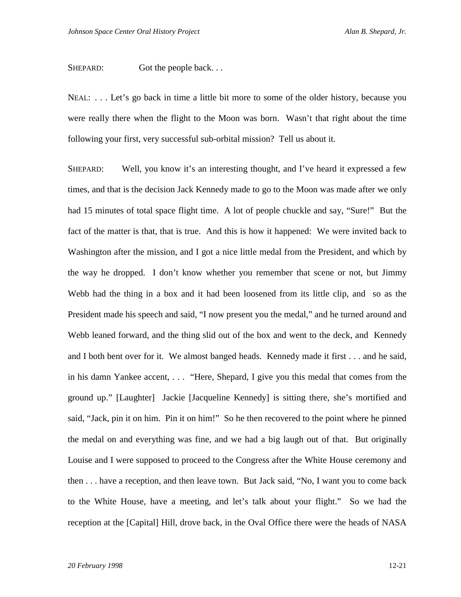SHEPARD: Got the people back...

NEAL: . . . Let's go back in time a little bit more to some of the older history, because you were really there when the flight to the Moon was born. Wasn't that right about the time following your first, very successful sub-orbital mission? Tell us about it.

SHEPARD: Well, you know it's an interesting thought, and I've heard it expressed a few times, and that is the decision Jack Kennedy made to go to the Moon was made after we only had 15 minutes of total space flight time. A lot of people chuckle and say, "Sure!" But the fact of the matter is that, that is true. And this is how it happened: We were invited back to Washington after the mission, and I got a nice little medal from the President, and which by the way he dropped. I don't know whether you remember that scene or not, but Jimmy Webb had the thing in a box and it had been loosened from its little clip, and so as the President made his speech and said, "I now present you the medal," and he turned around and Webb leaned forward, and the thing slid out of the box and went to the deck, and Kennedy and I both bent over for it. We almost banged heads. Kennedy made it first . . . and he said, in his damn Yankee accent, . . . "Here, Shepard, I give you this medal that comes from the ground up." [Laughter] Jackie [Jacqueline Kennedy] is sitting there, she's mortified and said, "Jack, pin it on him. Pin it on him!" So he then recovered to the point where he pinned the medal on and everything was fine, and we had a big laugh out of that. But originally Louise and I were supposed to proceed to the Congress after the White House ceremony and then . . . have a reception, and then leave town. But Jack said, "No, I want you to come back to the White House, have a meeting, and let's talk about your flight." So we had the reception at the [Capital] Hill, drove back, in the Oval Office there were the heads of NASA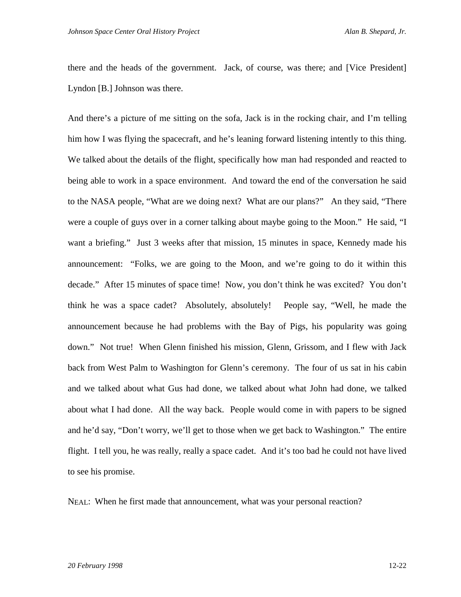there and the heads of the government. Jack, of course, was there; and [Vice President] Lyndon [B.] Johnson was there.

And there's a picture of me sitting on the sofa, Jack is in the rocking chair, and I'm telling him how I was flying the spacecraft, and he's leaning forward listening intently to this thing. We talked about the details of the flight, specifically how man had responded and reacted to being able to work in a space environment. And toward the end of the conversation he said to the NASA people, "What are we doing next? What are our plans?" An they said, "There were a couple of guys over in a corner talking about maybe going to the Moon." He said, "I want a briefing." Just 3 weeks after that mission, 15 minutes in space, Kennedy made his announcement: "Folks, we are going to the Moon, and we're going to do it within this decade." After 15 minutes of space time! Now, you don't think he was excited? You don't think he was a space cadet? Absolutely, absolutely! People say, "Well, he made the announcement because he had problems with the Bay of Pigs, his popularity was going down." Not true! When Glenn finished his mission, Glenn, Grissom, and I flew with Jack back from West Palm to Washington for Glenn's ceremony. The four of us sat in his cabin and we talked about what Gus had done, we talked about what John had done, we talked about what I had done. All the way back. People would come in with papers to be signed and he'd say, "Don't worry, we'll get to those when we get back to Washington." The entire flight. I tell you, he was really, really a space cadet. And it's too bad he could not have lived to see his promise.

NEAL: When he first made that announcement, what was your personal reaction?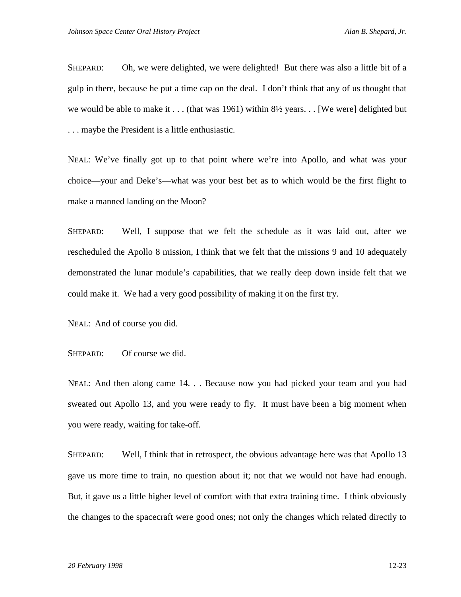SHEPARD: Oh, we were delighted, we were delighted! But there was also a little bit of a gulp in there, because he put a time cap on the deal. I don't think that any of us thought that we would be able to make it . . . (that was 1961) within 8½ years. . . [We were] delighted but . . . maybe the President is a little enthusiastic.

NEAL: We've finally got up to that point where we're into Apollo, and what was your choice—your and Deke's—what was your best bet as to which would be the first flight to make a manned landing on the Moon?

SHEPARD: Well, I suppose that we felt the schedule as it was laid out, after we rescheduled the Apollo 8 mission, I think that we felt that the missions 9 and 10 adequately demonstrated the lunar module's capabilities, that we really deep down inside felt that we could make it. We had a very good possibility of making it on the first try.

NEAL: And of course you did.

SHEPARD: Of course we did.

NEAL: And then along came 14. . . Because now you had picked your team and you had sweated out Apollo 13, and you were ready to fly. It must have been a big moment when you were ready, waiting for take-off.

SHEPARD: Well, I think that in retrospect, the obvious advantage here was that Apollo 13 gave us more time to train, no question about it; not that we would not have had enough. But, it gave us a little higher level of comfort with that extra training time. I think obviously the changes to the spacecraft were good ones; not only the changes which related directly to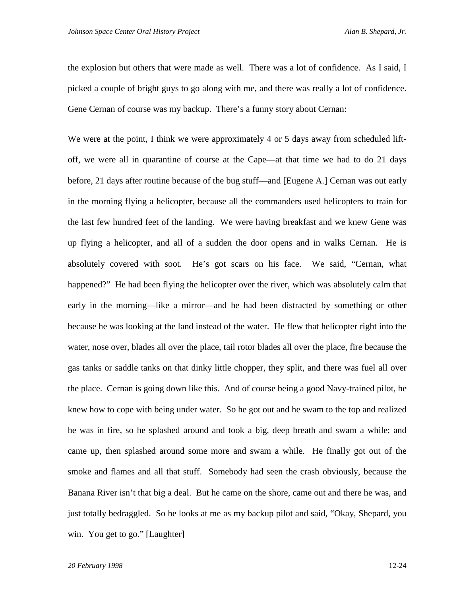the explosion but others that were made as well. There was a lot of confidence. As I said, I picked a couple of bright guys to go along with me, and there was really a lot of confidence. Gene Cernan of course was my backup. There's a funny story about Cernan:

We were at the point, I think we were approximately 4 or 5 days away from scheduled liftoff, we were all in quarantine of course at the Cape—at that time we had to do 21 days before, 21 days after routine because of the bug stuff—and [Eugene A.] Cernan was out early in the morning flying a helicopter, because all the commanders used helicopters to train for the last few hundred feet of the landing. We were having breakfast and we knew Gene was up flying a helicopter, and all of a sudden the door opens and in walks Cernan. He is absolutely covered with soot. He's got scars on his face. We said, "Cernan, what happened?" He had been flying the helicopter over the river, which was absolutely calm that early in the morning—like a mirror—and he had been distracted by something or other because he was looking at the land instead of the water. He flew that helicopter right into the water, nose over, blades all over the place, tail rotor blades all over the place, fire because the gas tanks or saddle tanks on that dinky little chopper, they split, and there was fuel all over the place. Cernan is going down like this. And of course being a good Navy-trained pilot, he knew how to cope with being under water. So he got out and he swam to the top and realized he was in fire, so he splashed around and took a big, deep breath and swam a while; and came up, then splashed around some more and swam a while. He finally got out of the smoke and flames and all that stuff. Somebody had seen the crash obviously, because the Banana River isn't that big a deal. But he came on the shore, came out and there he was, and just totally bedraggled. So he looks at me as my backup pilot and said, "Okay, Shepard, you win. You get to go." [Laughter]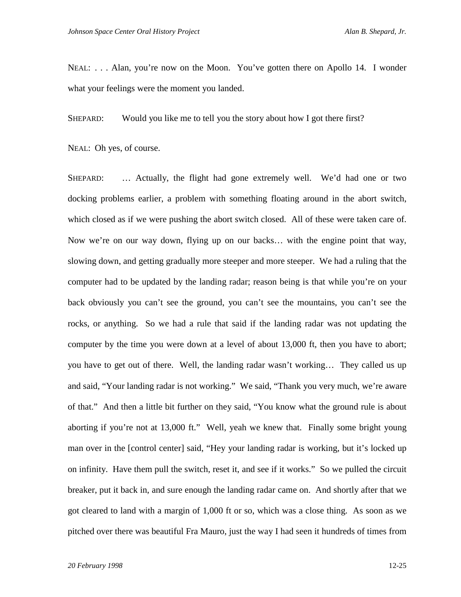NEAL: ... Alan, you're now on the Moon. You've gotten there on Apollo 14. I wonder what your feelings were the moment you landed.

SHEPARD: Would you like me to tell you the story about how I got there first?

NEAL: Oh yes, of course.

SHEPARD: ... Actually, the flight had gone extremely well. We'd had one or two docking problems earlier, a problem with something floating around in the abort switch, which closed as if we were pushing the abort switch closed. All of these were taken care of. Now we're on our way down, flying up on our backs… with the engine point that way, slowing down, and getting gradually more steeper and more steeper. We had a ruling that the computer had to be updated by the landing radar; reason being is that while you're on your back obviously you can't see the ground, you can't see the mountains, you can't see the rocks, or anything. So we had a rule that said if the landing radar was not updating the computer by the time you were down at a level of about 13,000 ft, then you have to abort; you have to get out of there. Well, the landing radar wasn't working… They called us up and said, "Your landing radar is not working." We said, "Thank you very much, we're aware of that." And then a little bit further on they said, "You know what the ground rule is about aborting if you're not at 13,000 ft." Well, yeah we knew that. Finally some bright young man over in the [control center] said, "Hey your landing radar is working, but it's locked up on infinity. Have them pull the switch, reset it, and see if it works." So we pulled the circuit breaker, put it back in, and sure enough the landing radar came on. And shortly after that we got cleared to land with a margin of 1,000 ft or so, which was a close thing. As soon as we pitched over there was beautiful Fra Mauro, just the way I had seen it hundreds of times from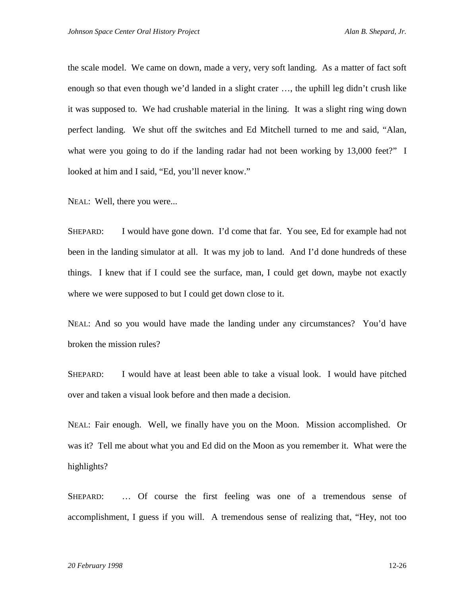the scale model. We came on down, made a very, very soft landing. As a matter of fact soft enough so that even though we'd landed in a slight crater …, the uphill leg didn't crush like it was supposed to. We had crushable material in the lining. It was a slight ring wing down perfect landing. We shut off the switches and Ed Mitchell turned to me and said, "Alan, what were you going to do if the landing radar had not been working by 13,000 feet?" I looked at him and I said, "Ed, you'll never know."

NEAL: Well, there you were...

SHEPARD: I would have gone down. I'd come that far. You see, Ed for example had not been in the landing simulator at all. It was my job to land. And I'd done hundreds of these things. I knew that if I could see the surface, man, I could get down, maybe not exactly where we were supposed to but I could get down close to it.

NEAL: And so you would have made the landing under any circumstances? You'd have broken the mission rules?

SHEPARD: I would have at least been able to take a visual look. I would have pitched over and taken a visual look before and then made a decision.

NEAL: Fair enough. Well, we finally have you on the Moon. Mission accomplished. Or was it? Tell me about what you and Ed did on the Moon as you remember it. What were the highlights?

SHEPARD: ... Of course the first feeling was one of a tremendous sense of accomplishment, I guess if you will. A tremendous sense of realizing that, "Hey, not too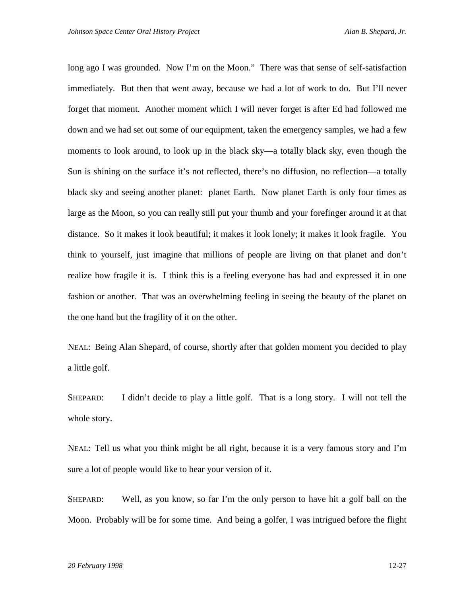long ago I was grounded. Now I'm on the Moon." There was that sense of self-satisfaction immediately. But then that went away, because we had a lot of work to do. But I'll never forget that moment. Another moment which I will never forget is after Ed had followed me down and we had set out some of our equipment, taken the emergency samples, we had a few moments to look around, to look up in the black sky—a totally black sky, even though the Sun is shining on the surface it's not reflected, there's no diffusion, no reflection—a totally black sky and seeing another planet: planet Earth. Now planet Earth is only four times as large as the Moon, so you can really still put your thumb and your forefinger around it at that distance. So it makes it look beautiful; it makes it look lonely; it makes it look fragile. You think to yourself, just imagine that millions of people are living on that planet and don't realize how fragile it is. I think this is a feeling everyone has had and expressed it in one fashion or another. That was an overwhelming feeling in seeing the beauty of the planet on the one hand but the fragility of it on the other.

NEAL: Being Alan Shepard, of course, shortly after that golden moment you decided to play a little golf.

SHEPARD: I didn't decide to play a little golf. That is a long story. I will not tell the whole story.

NEAL: Tell us what you think might be all right, because it is a very famous story and I'm sure a lot of people would like to hear your version of it.

SHEPARD: Well, as you know, so far I'm the only person to have hit a golf ball on the Moon. Probably will be for some time. And being a golfer, I was intrigued before the flight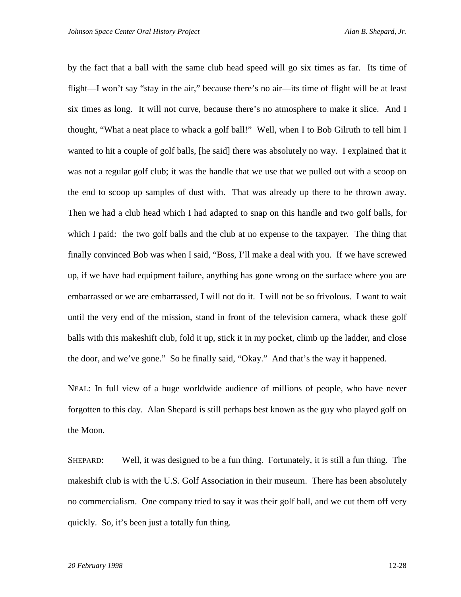by the fact that a ball with the same club head speed will go six times as far. Its time of flight—I won't say "stay in the air," because there's no air—its time of flight will be at least six times as long. It will not curve, because there's no atmosphere to make it slice. And I thought, "What a neat place to whack a golf ball!" Well, when I to Bob Gilruth to tell him I wanted to hit a couple of golf balls, [he said] there was absolutely no way. I explained that it was not a regular golf club; it was the handle that we use that we pulled out with a scoop on the end to scoop up samples of dust with. That was already up there to be thrown away. Then we had a club head which I had adapted to snap on this handle and two golf balls, for which I paid: the two golf balls and the club at no expense to the taxpayer. The thing that finally convinced Bob was when I said, "Boss, I'll make a deal with you. If we have screwed up, if we have had equipment failure, anything has gone wrong on the surface where you are embarrassed or we are embarrassed, I will not do it. I will not be so frivolous. I want to wait until the very end of the mission, stand in front of the television camera, whack these golf balls with this makeshift club, fold it up, stick it in my pocket, climb up the ladder, and close the door, and we've gone." So he finally said, "Okay." And that's the way it happened.

NEAL: In full view of a huge worldwide audience of millions of people, who have never forgotten to this day. Alan Shepard is still perhaps best known as the guy who played golf on the Moon.

SHEPARD: Well, it was designed to be a fun thing. Fortunately, it is still a fun thing. The makeshift club is with the U.S. Golf Association in their museum. There has been absolutely no commercialism. One company tried to say it was their golf ball, and we cut them off very quickly. So, it's been just a totally fun thing.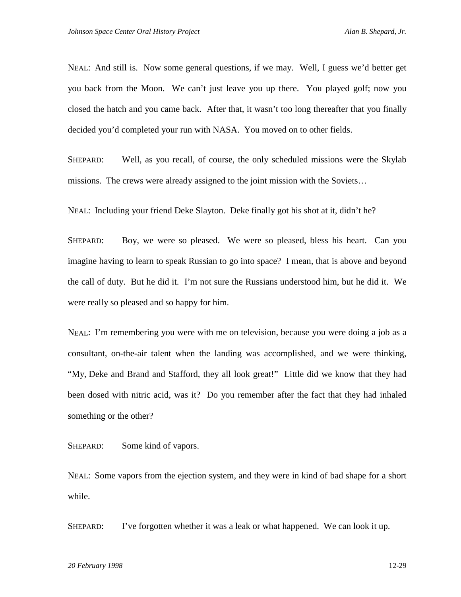NEAL: And still is. Now some general questions, if we may. Well, I guess we'd better get you back from the Moon. We can't just leave you up there. You played golf; now you closed the hatch and you came back. After that, it wasn't too long thereafter that you finally decided you'd completed your run with NASA. You moved on to other fields.

SHEPARD: Well, as you recall, of course, the only scheduled missions were the Skylab missions. The crews were already assigned to the joint mission with the Soviets…

NEAL: Including your friend Deke Slayton. Deke finally got his shot at it, didn't he?

SHEPARD: Boy, we were so pleased. We were so pleased, bless his heart. Can you imagine having to learn to speak Russian to go into space? I mean, that is above and beyond the call of duty. But he did it. I'm not sure the Russians understood him, but he did it. We were really so pleased and so happy for him.

NEAL: I'm remembering you were with me on television, because you were doing a job as a consultant, on-the-air talent when the landing was accomplished, and we were thinking, "My, Deke and Brand and Stafford, they all look great!" Little did we know that they had been dosed with nitric acid, was it? Do you remember after the fact that they had inhaled something or the other?

SHEPARD: Some kind of vapors.

NEAL: Some vapors from the ejection system, and they were in kind of bad shape for a short while.

SHEPARD: I've forgotten whether it was a leak or what happened. We can look it up.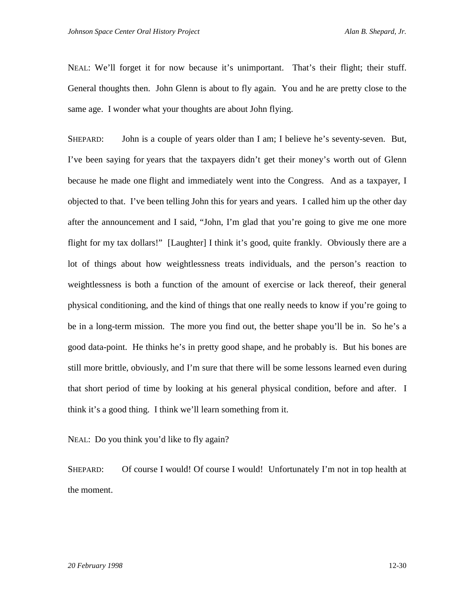NEAL: We'll forget it for now because it's unimportant. That's their flight; their stuff. General thoughts then. John Glenn is about to fly again. You and he are pretty close to the same age. I wonder what your thoughts are about John flying.

SHEPARD: John is a couple of years older than I am; I believe he's seventy-seven. But, I've been saying for years that the taxpayers didn't get their money's worth out of Glenn because he made one flight and immediately went into the Congress. And as a taxpayer, I objected to that. I've been telling John this for years and years. I called him up the other day after the announcement and I said, "John, I'm glad that you're going to give me one more flight for my tax dollars!" [Laughter] I think it's good, quite frankly. Obviously there are a lot of things about how weightlessness treats individuals, and the person's reaction to weightlessness is both a function of the amount of exercise or lack thereof, their general physical conditioning, and the kind of things that one really needs to know if you're going to be in a long-term mission. The more you find out, the better shape you'll be in. So he's a good data-point. He thinks he's in pretty good shape, and he probably is. But his bones are still more brittle, obviously, and I'm sure that there will be some lessons learned even during that short period of time by looking at his general physical condition, before and after. I think it's a good thing. I think we'll learn something from it.

NEAL: Do you think you'd like to fly again?

SHEPARD: Of course I would! Of course I would! Unfortunately I'm not in top health at the moment.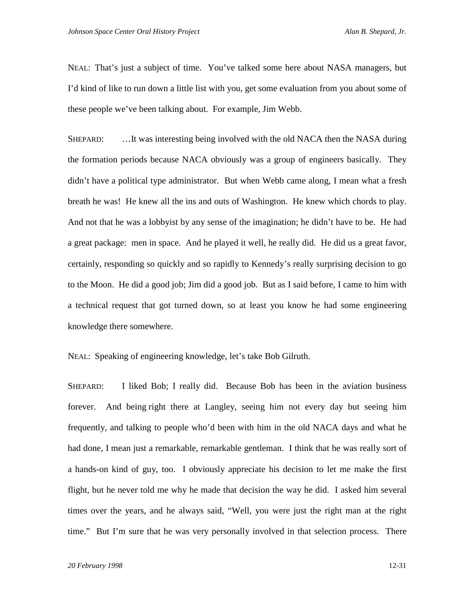NEAL: That's just a subject of time. You've talked some here about NASA managers, but I'd kind of like to run down a little list with you, get some evaluation from you about some of these people we've been talking about. For example, Jim Webb.

SHEPARD: …It was interesting being involved with the old NACA then the NASA during the formation periods because NACA obviously was a group of engineers basically. They didn't have a political type administrator. But when Webb came along, I mean what a fresh breath he was! He knew all the ins and outs of Washington. He knew which chords to play. And not that he was a lobbyist by any sense of the imagination; he didn't have to be. He had a great package: men in space. And he played it well, he really did. He did us a great favor, certainly, responding so quickly and so rapidly to Kennedy's really surprising decision to go to the Moon. He did a good job; Jim did a good job. But as I said before, I came to him with a technical request that got turned down, so at least you know he had some engineering knowledge there somewhere.

NEAL: Speaking of engineering knowledge, let's take Bob Gilruth.

SHEPARD: I liked Bob; I really did. Because Bob has been in the aviation business forever. And being right there at Langley, seeing him not every day but seeing him frequently, and talking to people who'd been with him in the old NACA days and what he had done, I mean just a remarkable, remarkable gentleman. I think that he was really sort of a hands-on kind of guy, too. I obviously appreciate his decision to let me make the first flight, but he never told me why he made that decision the way he did. I asked him several times over the years, and he always said, "Well, you were just the right man at the right time." But I'm sure that he was very personally involved in that selection process. There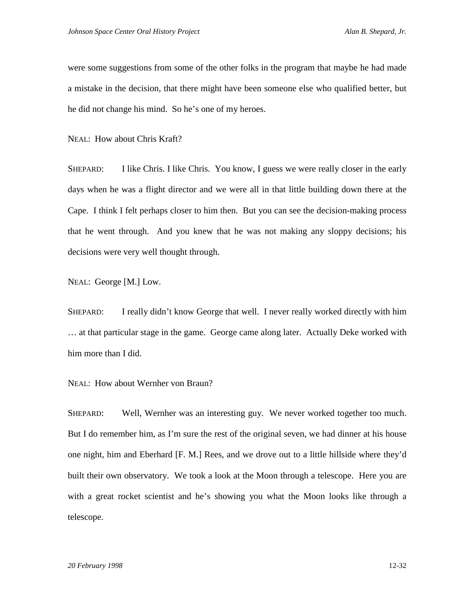were some suggestions from some of the other folks in the program that maybe he had made a mistake in the decision, that there might have been someone else who qualified better, but he did not change his mind. So he's one of my heroes.

NEAL: How about Chris Kraft?

SHEPARD: I like Chris. I like Chris. You know, I guess we were really closer in the early days when he was a flight director and we were all in that little building down there at the Cape. I think I felt perhaps closer to him then. But you can see the decision-making process that he went through. And you knew that he was not making any sloppy decisions; his decisions were very well thought through.

NEAL: George [M.] Low.

SHEPARD: I really didn't know George that well. I never really worked directly with him … at that particular stage in the game. George came along later. Actually Deke worked with him more than I did.

NEAL: How about Wernher von Braun?

SHEPARD: Well, Wernher was an interesting guy. We never worked together too much. But I do remember him, as I'm sure the rest of the original seven, we had dinner at his house one night, him and Eberhard [F. M.] Rees, and we drove out to a little hillside where they'd built their own observatory. We took a look at the Moon through a telescope. Here you are with a great rocket scientist and he's showing you what the Moon looks like through a telescope.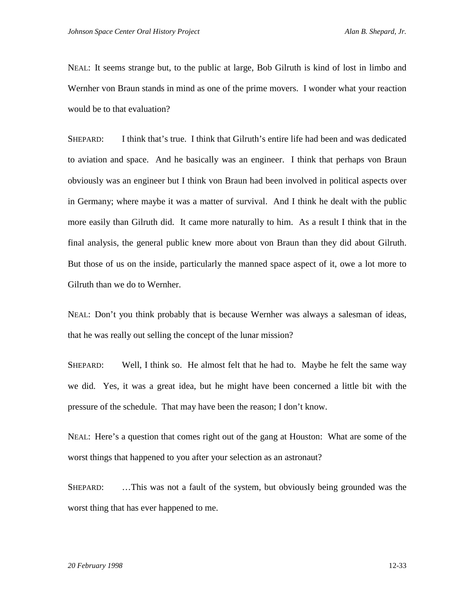NEAL: It seems strange but, to the public at large, Bob Gilruth is kind of lost in limbo and Wernher von Braun stands in mind as one of the prime movers. I wonder what your reaction would be to that evaluation?

SHEPARD: I think that's true. I think that Gilruth's entire life had been and was dedicated to aviation and space. And he basically was an engineer. I think that perhaps von Braun obviously was an engineer but I think von Braun had been involved in political aspects over in Germany; where maybe it was a matter of survival. And I think he dealt with the public more easily than Gilruth did. It came more naturally to him. As a result I think that in the final analysis, the general public knew more about von Braun than they did about Gilruth. But those of us on the inside, particularly the manned space aspect of it, owe a lot more to Gilruth than we do to Wernher.

NEAL: Don't you think probably that is because Wernher was always a salesman of ideas, that he was really out selling the concept of the lunar mission?

SHEPARD: Well, I think so. He almost felt that he had to. Maybe he felt the same way we did. Yes, it was a great idea, but he might have been concerned a little bit with the pressure of the schedule. That may have been the reason; I don't know.

NEAL: Here's a question that comes right out of the gang at Houston: What are some of the worst things that happened to you after your selection as an astronaut?

SHEPARD: …This was not a fault of the system, but obviously being grounded was the worst thing that has ever happened to me.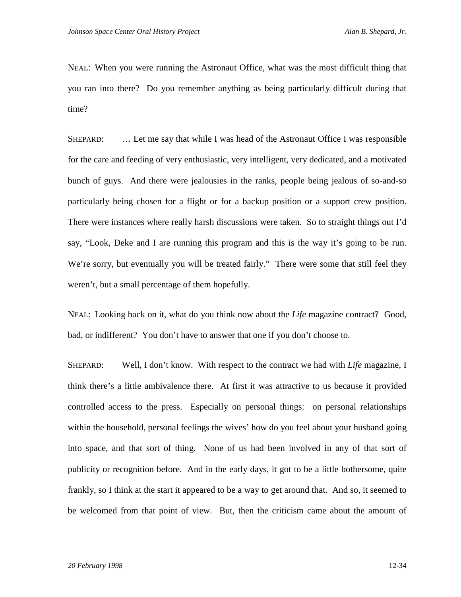NEAL: When you were running the Astronaut Office, what was the most difficult thing that you ran into there? Do you remember anything as being particularly difficult during that time?

SHEPARD: … Let me say that while I was head of the Astronaut Office I was responsible for the care and feeding of very enthusiastic, very intelligent, very dedicated, and a motivated bunch of guys. And there were jealousies in the ranks, people being jealous of so-and-so particularly being chosen for a flight or for a backup position or a support crew position. There were instances where really harsh discussions were taken. So to straight things out I'd say, "Look, Deke and I are running this program and this is the way it's going to be run. We're sorry, but eventually you will be treated fairly." There were some that still feel they weren't, but a small percentage of them hopefully.

NEAL: Looking back on it, what do you think now about the *Life* magazine contract? Good, bad, or indifferent? You don't have to answer that one if you don't choose to.

SHEPARD: Well, I don't know. With respect to the contract we had with *Life* magazine, I think there's a little ambivalence there. At first it was attractive to us because it provided controlled access to the press. Especially on personal things: on personal relationships within the household, personal feelings the wives' how do you feel about your husband going into space, and that sort of thing. None of us had been involved in any of that sort of publicity or recognition before. And in the early days, it got to be a little bothersome, quite frankly, so I think at the start it appeared to be a way to get around that. And so, it seemed to be welcomed from that point of view. But, then the criticism came about the amount of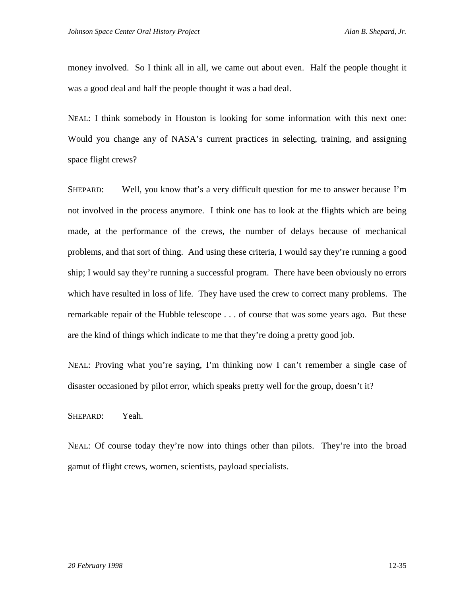money involved. So I think all in all, we came out about even. Half the people thought it was a good deal and half the people thought it was a bad deal.

NEAL: I think somebody in Houston is looking for some information with this next one: Would you change any of NASA's current practices in selecting, training, and assigning space flight crews?

SHEPARD: Well, you know that's a very difficult question for me to answer because I'm not involved in the process anymore. I think one has to look at the flights which are being made, at the performance of the crews, the number of delays because of mechanical problems, and that sort of thing. And using these criteria, I would say they're running a good ship; I would say they're running a successful program. There have been obviously no errors which have resulted in loss of life. They have used the crew to correct many problems. The remarkable repair of the Hubble telescope . . . of course that was some years ago. But these are the kind of things which indicate to me that they're doing a pretty good job.

NEAL: Proving what you're saying, I'm thinking now I can't remember a single case of disaster occasioned by pilot error, which speaks pretty well for the group, doesn't it?

SHEPARD: Yeah.

NEAL: Of course today they're now into things other than pilots. They're into the broad gamut of flight crews, women, scientists, payload specialists.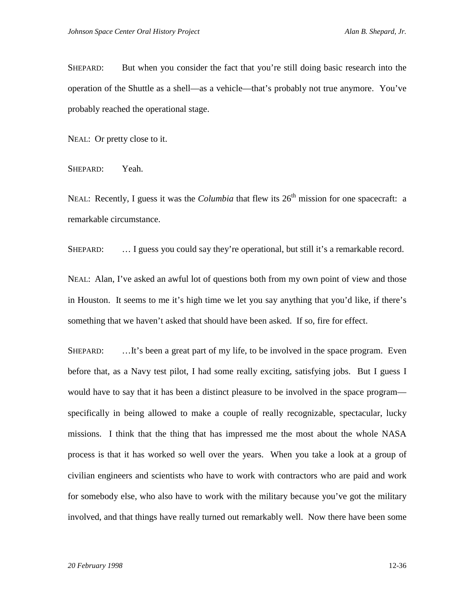SHEPARD: But when you consider the fact that you're still doing basic research into the operation of the Shuttle as a shell—as a vehicle—that's probably not true anymore. You've probably reached the operational stage.

NEAL: Or pretty close to it.

SHEPARD: Yeah.

NEAL: Recently, I guess it was the *Columbia* that flew its 26<sup>th</sup> mission for one spacecraft: a remarkable circumstance.

SHEPARD: ... I guess you could say they're operational, but still it's a remarkable record.

NEAL: Alan, I've asked an awful lot of questions both from my own point of view and those in Houston. It seems to me it's high time we let you say anything that you'd like, if there's something that we haven't asked that should have been asked. If so, fire for effect.

SHEPARD: ... It's been a great part of my life, to be involved in the space program. Even before that, as a Navy test pilot, I had some really exciting, satisfying jobs. But I guess I would have to say that it has been a distinct pleasure to be involved in the space program specifically in being allowed to make a couple of really recognizable, spectacular, lucky missions. I think that the thing that has impressed me the most about the whole NASA process is that it has worked so well over the years. When you take a look at a group of civilian engineers and scientists who have to work with contractors who are paid and work for somebody else, who also have to work with the military because you've got the military involved, and that things have really turned out remarkably well. Now there have been some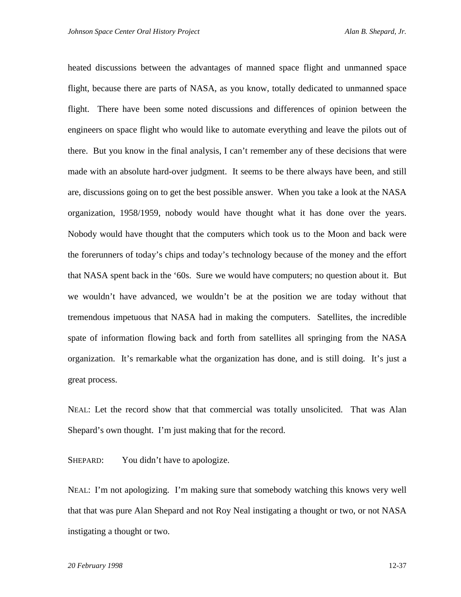heated discussions between the advantages of manned space flight and unmanned space flight, because there are parts of NASA, as you know, totally dedicated to unmanned space flight. There have been some noted discussions and differences of opinion between the engineers on space flight who would like to automate everything and leave the pilots out of there. But you know in the final analysis, I can't remember any of these decisions that were made with an absolute hard-over judgment. It seems to be there always have been, and still are, discussions going on to get the best possible answer. When you take a look at the NASA organization, 1958/1959, nobody would have thought what it has done over the years. Nobody would have thought that the computers which took us to the Moon and back were the forerunners of today's chips and today's technology because of the money and the effort that NASA spent back in the '60s. Sure we would have computers; no question about it. But we wouldn't have advanced, we wouldn't be at the position we are today without that tremendous impetuous that NASA had in making the computers. Satellites, the incredible spate of information flowing back and forth from satellites all springing from the NASA organization. It's remarkable what the organization has done, and is still doing. It's just a great process.

NEAL: Let the record show that that commercial was totally unsolicited. That was Alan Shepard's own thought. I'm just making that for the record.

SHEPARD: You didn't have to apologize.

NEAL: I'm not apologizing. I'm making sure that somebody watching this knows very well that that was pure Alan Shepard and not Roy Neal instigating a thought or two, or not NASA instigating a thought or two.